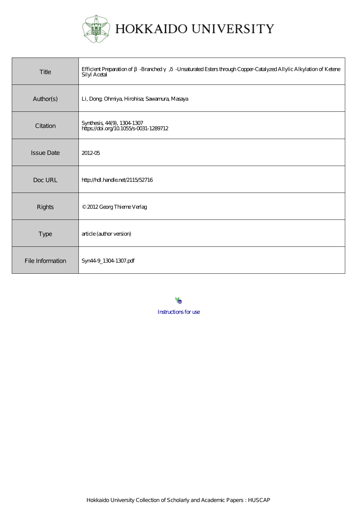

HOKKAIDO UNIVERSITY

| Title             | Efficient Preparation of -Branched, -Unsaturated Esters through Copper-Catalyzed Allylic Alkylation of Ketene<br><b>Silyl Acetal</b> |
|-------------------|--------------------------------------------------------------------------------------------------------------------------------------|
| Author(s)         | Li, Dong Ohmiya, Hirohisa; Sawamura, Masaya                                                                                          |
| Citation          | Synthesis, 44(9), 1304-1307<br>https://doi.org/10.1055/s-0031-1289712                                                                |
| <b>Issue Date</b> | 2012-05                                                                                                                              |
| Doc URL           | http://hdl.handle.net/2115/52716                                                                                                     |
| Rights            | © 2012 Georg Thieme Verlag                                                                                                           |
| <b>Type</b>       | article (author version)                                                                                                             |
| File Information  | Syn449_1304 1307.pdf                                                                                                                 |

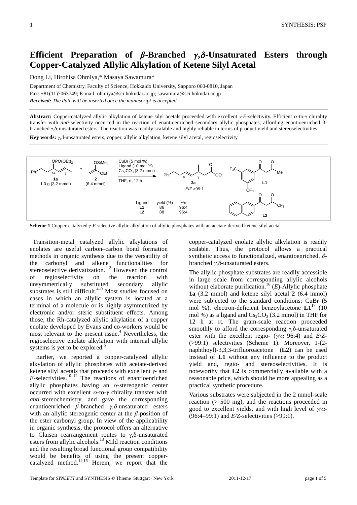# Efficient Preparation of  $\beta$ -Branched  $\gamma$ , $\delta$ -Unsaturated Esters through **Copper-Catalyzed Allylic Alkylation of Ketene Silyl Acetal**

Dong Li, Hirohisa Ohmiya,\* Masaya Sawamura\*

Department of Chemistry, Faculty of Science, Hokkaido University, Sapporo 060-0810, Japan Fax: +81(11)7063749; E-mail: ohmiya@sci.hokudai.ac.jp; sawamura@sci.hokudai.ac.jp *Received: The date will be inserted once the manuscript is accepted.*

Abstract: Copper-catalyzed allylic alkylation of ketene silyl acetals proceeded with excellent γ-E-selectivity. Efficient α-to-γ chirality transfer with *anti*-selectivity occurred in the reaction of enantioenriched secondary allylic phosphates, affording enantioenriched βbranched  $\gamma$ , $\delta$ -unsaturated esters. The reaction was readily scalable and highly reliable in terms of product yield and stereoselectivities.

Key words:  $\gamma$ , $\delta$ -unsaturated esters, copper, allylic alkylation, ketene silyl acetal, regioselectivity



Scheme 1 Copper-catalyzed  $\gamma$ -E-selective allylic alkylation of allylic phosphates with an acetate-derived ketene silyl acetal

 Transition-metal catalyzed allylic alkylations of enolates are useful carbon–carbon bond formation methods in organic synthesis due to the versatility of the carbonyl and alkene functionalities for stereoselective derivatization.<sup>1–3</sup> However, the control of regioselectivity on the reaction with unsymmetrically substituted secondary allylic substrates is still difficult. $4-9$  Most studies focused on cases in which an allylic system is located at a terminal of a molecule or is highly asymmetrized by electronic and/or steric substituent effects. Among those, the Rh-catalyzed allylic alkylation of a copper enolate developed by Evans and co-workers would be most relevant to the present issue.<sup>4</sup> Nevertheless, the regioselective enolate alkylation with internal allylic systems is yet to be explored.<sup>5</sup>

Earlier, we reported a copper-catalyzed allylic alkylation of allylic phosphates with acetate-derived ketene silyl acetals that proceeds with excellent  $\gamma$ - and  $E$ -selectivities.<sup>10–12</sup> The reactions of enantioenriched allylic phosphates having an  $\alpha$ -stereogenic center occurred with excellent  $\alpha$ -to- $\gamma$  chirality transfer with *anti*-stereochemistry, and gave the corresponding enantioenriched  $\beta$ -branched  $\gamma$ , $\delta$ -unsaturated esters with an allylic stereogenic center at the  $\beta$ -position of the ester carbonyl group. In view of the applicability in organic synthesis, the protocol offers an alternative to Claisen rearrangement routes to  $\gamma$ , $\delta$ -unsaturated esters from allylic alcohols.<sup>13</sup> Mild reaction conditions and the resulting broad functional group compatibility would be benefits of using the present coppercatalyzed method. $14,15$  Herein, we report that the copper-catalyzed enolate allylic alkylation is readily scalable. Thus, the protocol allows a practical synthetic access to functionalized, enantioenriched,  $\beta$ branched  $\gamma$ , $\delta$ -unsaturated esters.

The allylic phosphate substrates are readily accessible in large scale from corresponding allylic alcohols without elaborate purification.<sup>16</sup> (*E*)-Allylic phosphate **1a** (3.2 mmol) and ketene silyl acetal **2** (6.4 mmol) were subjected to the standard conditions; CuBr (5 mol %), electron-deficient benzoylacetone **L1**17 (10 mol %) as a ligand and  $Cs_2CO_3$  (3.2 mmol) in THF for 12 h at rt. The gram-scale reaction proceeded smoothly to afford the corresponding  $\gamma$ , $\delta$ -unsaturated ester with the excellent regio- ( $\psi/\alpha$  96:4) and *E*/*Z*-(>99:1) selectivities (Scheme 1). Moreover, 1-(2 naphthoyl)-3,3,3-trifluoroacetone (**L2**) can be used instead of **L1** without any influence to the product yield and, regio- and stereoselectivities. It is noteworthy that **L2** is commercially available with a reasonable price, which should be more appealing as a practical synthetic procedure.

Various substrates were subjected in the 2 mmol-scale reaction (> 500 mg), and the reactions proceeded in good to excellent yields, and with high level of  $\gamma/\alpha$ -(96:4–99:1) and *E/Z*-selectivities (>99:1).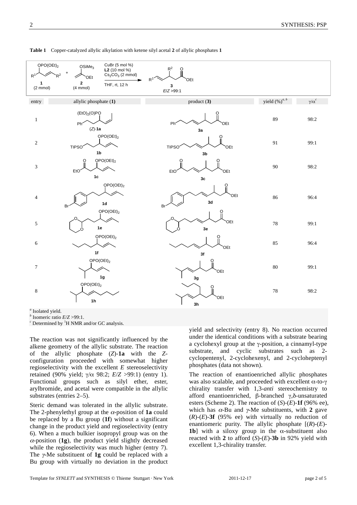| OPO(OEt) <sub>2</sub><br>$R^2$<br>$R^1$ | CuBr (5 mol %)<br>OSiMe <sub>3</sub><br>L2 (10 mol %)<br>$+$<br>$Cs2CO3$ (2 mmol)<br>OEt | $R^2$<br>O<br>R <sup>1</sup><br>OEt   |                     |                   |
|-----------------------------------------|------------------------------------------------------------------------------------------|---------------------------------------|---------------------|-------------------|
| 1<br>$(2 \text{ mmol})$                 | $\mathbf 2$<br>THF, rt, 12 h<br>$(4 \text{ mmol})$                                       | $3$<br>E/Z > 99:1                     |                     |                   |
| entry                                   | allylic phosphate (1)                                                                    | product(3)                            | yield $(\%)^{a, b}$ | $\gamma/\alpha^c$ |
| $\,1$                                   | (EtO) <sub>2</sub> (O)PO<br>Ph<<br>$(Z)$ -1a                                             | Phi<br>OEt<br>3a                      | 89                  | 98:2              |
| $\sqrt{2}$                              | OPO(OEt) <sub>2</sub><br>TIPSO <sup>-</sup><br>1 <sub>b</sub>                            | <b>TIPSO</b><br>OEt<br>3 <sub>b</sub> | 91                  | 99:1              |
| $\mathfrak{Z}$                          | OPO(OEt) <sub>2</sub><br>EtO <sup>®</sup><br>$1c$                                        | EtO<br>OEt<br>$3c$                    | $90\,$              | 98:2              |
| $\overline{4}$                          | OPO(OEt) <sub>2</sub><br>1d<br>Br                                                        | OEt<br>3d<br>Br                       | 86                  | 96:4              |
| 5                                       | OPO(OEt) <sub>2</sub><br>$1e$                                                            | OEt<br>$3\mathsf{e}$                  | $78\,$              | 99:1              |
| 6                                       | OPO(OEt) <sub>2</sub>                                                                    | OEt                                   | 85                  | 96:4              |
| $\boldsymbol{7}$                        | 1f<br>OPO(OEt) <sub>2</sub><br>1g                                                        | $3f$<br>OEt<br>3g                     | $80\,$              | 99:1              |
| $\,8\,$                                 | OPO(OEt) <sub>2</sub><br>1 <sub>h</sub>                                                  | OEt<br>3h                             | $78\,$              | 98:2              |
| $a$ Leaders J stall                     |                                                                                          |                                       |                     |                   |

**Table 1** Copper-catalyzed allylic alkylation with ketene silyl acetal **2** of allylic phosphates **1** 

*a* Isolated yield.

 $<sup>b</sup>$  Isomeric ratio  $E/Z > 99:1$ .</sup>

 $c$  Determined by  ${}^{1}$ H NMR and/or GC analysis.

The reaction was not significantly influenced by the alkene geometry of the allylic substrate. The reaction of the allylic phosphate (*Z*)-**1a** with the *Z*configuration proceeded with somewhat higher regioselectivity with the excellent *E* stereoselectivity retained (90% yield;  $\gamma/\alpha$  98:2;  $E/Z > 99:1$ ) (entry 1). Functional groups such as silyl ether, ester, arylbromide, and acetal were compatible in the allylic substrates (entries 2–5).

Steric demand was tolerated in the allylic substrate. The 2-phenylethyl group at the  $\alpha$ -position of **1a** could be replaced by a Bu group (**1f**) without a significant change in the product yield and regioselectivity (entry 6). When a much bulkier isopropyl group was on the  $\alpha$ -position (1g), the product yield slightly decreased while the regioselectivity was much higher (entry 7). The  $\gamma$ -Me substituent of 1g could be replaced with a Bu group with virtually no deviation in the product

yield and selectivity (entry 8). No reaction occurred under the identical conditions with a substrate bearing a cyclohexyl group at the  $\gamma$ -position, a cinnamyl-type substrate, and cyclic substrates such as 2 cyclopentenyl, 2-cyclohexenyl, and 2-cycloheptenyl phosphates (data not shown).

The reaction of enantioenriched allylic phosphates was also scalable, and proceeded with excellent  $\alpha$ -to- $\gamma$ chirality transfer with 1,3-*anti* stereochemistry to afford enantioenriched,  $\beta$ -branched  $\gamma$ , $\delta$ -unsaturated esters (Scheme 2). The reaction of  $(S)-(E)-1f(96%$  ee), which has  $\alpha$ -Bu and  $\gamma$ -Me substituents, with 2 gave (*R*)-(*E*)-**3f** (95% ee) with virtually no reduction of enantiomeric purity. The allylic phosphate  $[(R)-(E)-R]$ **1b**] with a siloxy group in the  $\alpha$ -substituent also reacted with 2 to afford  $(S)-(E)$ -3b in 92% yield with excellent 1,3-chirality transfer.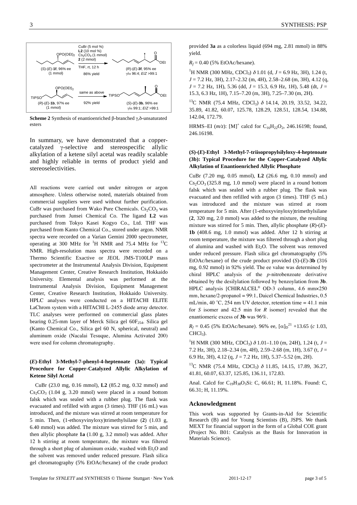

**Scheme 2** Synthesis of enantioenriched  $\beta$ -branched  $\gamma$ ,  $\delta$ -unsaturated esters

In summary, we have demonstrated that a coppercatalyzed  $\gamma$ -selective and stereospecific allylic alkylation of a ketene silyl acetal was readily scalable and highly reliable in terms of product yield and stereoselectivities.

All reactions were carried out under nitrogen or argon atmosphere. Unless otherwise noted, materials obtained from commercial suppliers were used without further purification. CuBr was purchased from Wako Pure Chemicals.  $Cs_2CO_3$  was purchased from Junsei Chemical Co. The ligand **L2** was purchased from Tokyo Kasei Kogyo Co., Ltd. THF was purchased from Kanto Chemical Co., stored under argon. NMR spectra were recorded on a Varian Gemini 2000 spectrometer, operating at 300 MHz for  ${}^{1}$ H NMR and 75.4 MHz for  ${}^{13}$ C NMR. High-resolution mass spectra were recorded on a Thermo Scientific Exactive or JEOL JMS-T100LP mass spectrometer at the Instrumental Analysis Division, Equipment Management Center, Creative Research Institution, Hokkaido University. Elemental analysis was performed at the Instrumental Analysis Division, Equipment Management Center, Creative Research Institution, Hokkaido University. HPLC analyses were conducted on a HITACHI ELITE LaChrom system with a HITACHI L-2455 diode array detector. TLC analyses were performed on commercial glass plates bearing 0.25-mm layer of Merck Silica gel  $60F_{254}$ . Silica gel (Kanto Chemical Co., Silica gel 60 N, spherical, neutral) and aluminum oxide (Nacalai Tesuque, Alumina Activated 200) were used for column chromatography.

### **(***E***)-Ethyl 3-Methyl-7-phenyl-4-heptenoate (3a): Typical Procedure for Copper-Catalyzed Allylic Alkylation of Ketene Silyl Acetal**

CuBr (23.0 mg, 0.16 mmol), **L2** (85.2 mg, 0.32 mmol) and  $Cs_2CO_3$  (1.04 g, 3.20 mmol) were placed in a round bottom falsk which was sealed with a rubber plug. The flask was evacuated and refilled with argon (3 times). THF (16 mL) was introduced, and the mixture was stirred at room temperature for 5 min. Then, (1-ethoxyvinyloxy)trimethylsilane (**2**) (1.03 g, 6.40 mmol) was added. The mixture was stirred for 5 min, and then allylic phosphate **1a** (1.00 g, 3.2 mmol) was added. After 12 h stirring at room temperature, the mixture was filtered through a short plug of aluminum oxide, washed with Et<sub>2</sub>O and the solvent was removed under reduced pressure. Flash silica gel chromatography (5% EtOAc/hexane) of the crude product provided **3a** as a colorless liquid (694 mg, 2.81 mmol) in 88% yield.

 $R_f = 0.40$  (5% EtOAc/hexane).

<sup>1</sup>H NMR (300 MHz, CDCl<sub>3</sub>)  $\delta$  1.01 (d, *J* = 6.9 Hz, 3H), 1.24 (t, *J* = 7.2 Hz, 3H), 2.17–2.32 (m, 4H), 2.58–2.68 (m, 3H), 4.12 (q, *J* = 7.2 Hz, 1H), 5.36 (dd, *J* = 15.3, 6.9 Hz, 1H), 5.48 (dt, *J* = 15.3, 6.3 Hz, 1H), 7.15–7.20 (m, 3H), 7.25–7.30 (m, 2H).

<sup>13</sup>C NMR (75.4 MHz, CDCl<sub>3</sub>)  $\delta$  14.14, 20.19, 33.52, 34.22, 35.89, 41.82, 60.07, 125.78, 128.29, 128.51, 128.54, 134.88, 142.04, 172.79.

HRMS–EI  $(m/z)$ : [M]<sup>+</sup> calcd for C<sub>16</sub>H<sub>22</sub>O<sub>2</sub>, 246.16198; found, 246.16198.

#### **(***S***)-(***E***)-Ethyl 3-Methyl-7-triisopropylsilyloxy-4-heptenoate (3b): Typical Procedure for the Copper-Catalyzed Allylic Alkylation of Enantioenriched Allylic Phosphate**

CuBr (7.20 mg, 0.05 mmol), **L2** (26.6 mg, 0.10 mmol) and  $Cs_2CO_3$  (325.8 mg, 1.0 mmol) were placed in a round bottom falsk which was sealed with a rubber plug. The flask was evacuated and then refilled with argon (3 times). THF (5 mL) was introduced and the mixture was stirred at room temperature for 5 min. After (1-ethoxyvinyloxy)trimethylsilane (**2**, 320 mg, 2.0 mmol) was added to the mixture, the resulting mixture was stirred for 5 min. Then, allylic phosphate (*R*)-(*E*)- **1b** (408.6 mg, 1.0 mmol) was added. After 12 h stirring at room temperature, the mixture was filtered through a short plug of alumina and washed with  $Et<sub>2</sub>O$ . The solvent was removed under reduced pressure. Flash silica gel chromatography (5% EtOAc/hexane) of the crude product provided  $(S)$ - $(E)$ -3b  $(316)$ mg, 0.92 mmol) in 92% yield. The ee value was determined by chiral HPLC analysis of the *p*-nitrobenzoate derivative obtained by the desilylation followed by benzoylation from **3b**. HPLC analysis [CHIRALCEL® OD-3 column, 4.6 mm×250 mm, hexane/2-propanol = 99:1, Daicel Chemical Industries, 0.5 mL/min, 40 °C, 254 nm UV detector, retention time  $= 41.1$  min for *S* isomer and 42.5 min for *R* isomer] revealed that the enantiomeric excess of **3b** was 96%.

 $R_f = 0.45$  (5% EtOAc/hexane). 96% ee,  $[\alpha]_D^{21}$  +13.65 (*c* 1.03,  $CHCl<sub>2</sub>$ ).

<sup>1</sup>H NMR (300 MHz, CDCl<sub>3</sub>)  $\delta$  1.01–1.10 (m, 24H), 1.24 (t, *J* = 7.2 Hz, 3H), 2.18–2.34 (m, 4H), 2.59–2.68 (m, 1H), 3.67 (t, *J* = 6.9 Hz, 3H), 4.12 (q, *J* = 7.2 Hz, 1H), 5.37–5.52 (m, 2H).

<sup>13</sup>C NMR (75.4 MHz, CDCl<sub>3</sub>)  $\delta$  11.85, 14.15, 17.89, 36.27, 41.81, 60.07, 63.37, 125.85, 136.11, 172.83.

Anal. Calcd for  $C_{19}H_{38}O_3Si$ : C, 66.61; H, 11.18%. Found: C, 66.31; H, 11.19%.

#### **Acknowledgment**

This work was supported by Grants-in-Aid for Scientific Research (B) and for Young Scientists (B), JSPS. We thank MEXT for financial support in the form of a Global COE grant (Project No. B01: Catalysis as the Basis for Innovation in Materials Science).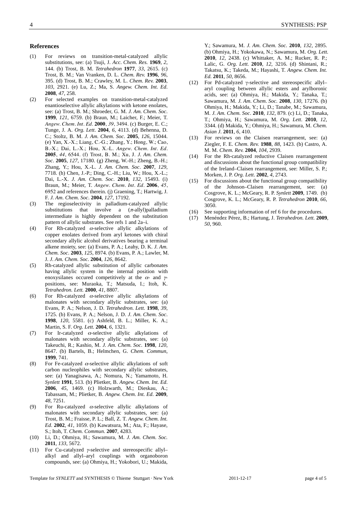#### **References**

- (1) For reviews on transition-metal-catalyzed allylic substitutions, see: (a) Tsuji, J. *Acc. Chem. Res.* **1969**, *2*, 144. (b) Trost, B. M. *Tetrahedron* **1977**, *33*, 2615. (c) Trost, B. M.; Van Vranken, D. L. *Chem. Rev.* **1996**, *96*, 395. (d) Trost, B. M.; Crawley, M. L. *Chem. Rev.* **2003**, *103*, 2921. (e) Lu, Z.; Ma, S. *Angew. Chem. Int. Ed*. **2008**, *47*, 258.
- (2) For selected examples on transition-metal-catalyzed enantioselective allylic alkylations with ketone enolates, see: (a) Trost, B. M.; Shroeder, G. M. *J. Am. Chem. Soc*. **1999**, *121*, 6759. (b) Braun, M.; Laicher, F.; Meier, T. *Angew. Chem. Int. Ed.* **2000**, *39*, 3494. (c) Burger, E. C.; Tunge, J. A. *Org. Lett*. **2004**, *6*, 4113. (d) Behenna, D. C.; Stoltz, B. M. *J. Am. Chem. Soc*. **2005**, *126*, 15044. (e) Yan, X.-X.; Liang, C.-G.; Zhang, Y.; Hong, W.; Cao, B.-X.; Dai, L.-X.; Hou, X.-L. *Angew. Chem. Int. Ed.*  **2005**, *44*, 6544. (f) Trost, B. M.; Xu, J. *J. Am. Chem. Soc*. **2005**, *127*, 17180. (g) Zheng, W.-H.; Zheng, B.-H.; Zhang, Y.; Hou, X.-L. *J. Am. Chem. Soc*. **2007**, *129*, 7718. (h) Chen, J.-P.; Ding, C.-H.; Liu, W.; Hou, X.-L.; Dai, L.-X. *J. Am. Chem. Soc*. **2010**, *132*, 15493. (i) Braun, M.; Meier, T. *Angew. Chem. Int. Ed.* **2006**, *45*, 6952 and references therein. (j) Graening, T.; Hartwig, J. F. *J. Am. Chem. Soc*. **2004**, *127*, 17192.
- (3) The regioselectivity in palladium-catalyzed allylic substitutions that involve a  $(\pi$ -allyl)palladium intermediate is highly dependent on the substitution pattern of allylic substrates. See refs 1 and 2a–i.
- (4) For Rh-catalyzed  $\alpha$ -selective allylic alkylations of copper enolates derived from aryl ketones with chiral secondary allylic alcohol derivatives bearing a terminal alkene moiety, see: (a) Evans, P. A.; Leahy, D. K. *J. Am. Chem. Soc*. **2003**, *125*, 8974. (b) Evans, P. A.; Lawler, M. J. *J. Am. Chem. Soc*. **2004**, *126*, 8642.
- (5) Rh-catalyzed allylic substitution of allylic carbonates having allylic system in the internal position with enoxysilanes occured competitively at the  $\alpha$ - and  $\gamma$ positions, see: Muraoka, T.; Matsuda, I.; Itoh, K. *Tetrahedron. Lett.* **2000**, *41*, 8807.
- (6) For Rh-catalyzed  $\alpha$ -selective allylic alkylations of malonates with secondary allylic substrates, see: (a) Evans, P. A.; Nelson, J. D. *Tetrahedron. Lett.* **1998**, *39*, 1725. (b) Evans, P. A.; Nelson, J. D. *J. Am. Chem. Soc*. **1998**, *120*, 5581. (c) Ashfeld, B. L.; Miller, K. A.; Martin, S. F. *Org. Lett.* **2004**, *6*, 1321.
- (7) For Ir-catalyzed  $\alpha$ -selective allylic alkylations of malonates with secondary allylic substrates, see: (a) Takeuchi, R.; Kashio, M. *J. Am. Chem. Soc*. **1998**, *120*, 8647. (b) Bartels, B.; Helmchen, G. *Chem. Commun*, **1999**, 741.
- (8) For Fe-catalyzed  $\alpha$ -selective allylic alkylations of soft carbon nucleophiles with secondary allylic substrates, see: (a) Yanagisawa, A.; Nomura, N.; Yamamoto, H. *Synlett* **1991**, 513. (b) Plietker, B. *Angew. Chem. Int. Ed*. **2006**, *45*, 1469. (c) Holzwarth, M.; Dieskau, A.; Tabassam, M.; Plietker, B. *Angew. Chem. Int. Ed*. **2009**, *48*, 7251.
- (9) For Ru-catalyzed  $\alpha$ -selective allylic alkylations of malonates with secondary allylic substrates, see: (a) Trost, B. M.; Fraisse, P. L.; Ball, Z. T. *Angew. Chem. Int. Ed*. **2002**, *41*, 1059. (b) Kawatsura, M.; Ata, F.; Hayase, S.; Itoh, T. *Chem. Commun.* **2007**, 4283.
- (10) Li, D.; Ohmiya, H.; Sawamura, M. *J. Am. Chem. Soc.* **2011**, *133,* 5672.
- (11) For Cu-catalyzed  $\gamma$ -selective and stereospecific allylalkyl and allyl–aryl couplings with organoboron compounds, see: (a) Ohmiya, H.; Yokobori, U.; Makida,

Y.; Sawamura, M. *J. Am. Chem. Soc.* **2010**, *132,* 2895. (b) Ohmiya, H.; Yokokawa, N.; Sawamura, M. *Org. Lett.*  **2010**, *12,* 2438. (c) Whittaker, A. M.; Rucker, R. P.; Lalic, G. *Org. Lett.* **2010**, *12,* 3216. (d) Shintani, R.; Takatsu, K.; Takeda, M.; Hayashi, T. *Angew. Chem. Int. Ed.* **2011**, *50*, 8656.

- (12) For Pd-catalyzed  $\gamma$ -selective and stereospecific allylaryl coupling between allylic esters and arylboronic acids, see: (a) Ohmiya, H.; Makida, Y.; Tanaka, T.; Sawamura, M. *J. Am. Chem. Soc.* **2008**, *130*, 17276. (b) Ohmiya, H.; Makida, Y.; Li, D.; Tanabe, M.; Sawamura, M. *J. Am. Chem. Soc*. **2010**, *132*, 879. (c) Li, D.; Tanaka, T.; Ohmiya, H.; Sawamura, M. *Org. Lett*. **2010**, *12*, 3344. (d) Makida, Y.; Ohmiya, H.; Sawamura, M. *Chem. Asian J.* **2011**, *6*, 410.
- (13) For reviews on the Claisen rearrangement, see: (a) Ziegler, F. E. *Chem. Rev.* **1988**, *88*, 1423. (b) Castro, A. M. M. *Chem. Rev.* **2004**, *104*, 2939.
- (14) For the Rh-catalyzed reductive Claisen rearrangement and discussions about the functional group compatibility of the Ireland–Claisen rearrangement, see: Miller, S. P.; Morken, J. P. *Org. Lett*. **2002**, *4*, 2743.
- (15) For discussions about the functional group compatibility of the Johnson–Claisen rearrangement, see: (a) Cosgrove, K. L.; McGeary, R. P. *Synlett* **2009**, 1749. (b) Cosgrove, K. L.; McGeary, R. P. *Tetrahedron* **2010**, *66*, 3050.
- (16) See supporting information of ref 6 for the procedures.
- (17) Menéndez Pérez, B.; Hartung, J. *Tetrahedron. Lett.* **2009**, *50*, 960.